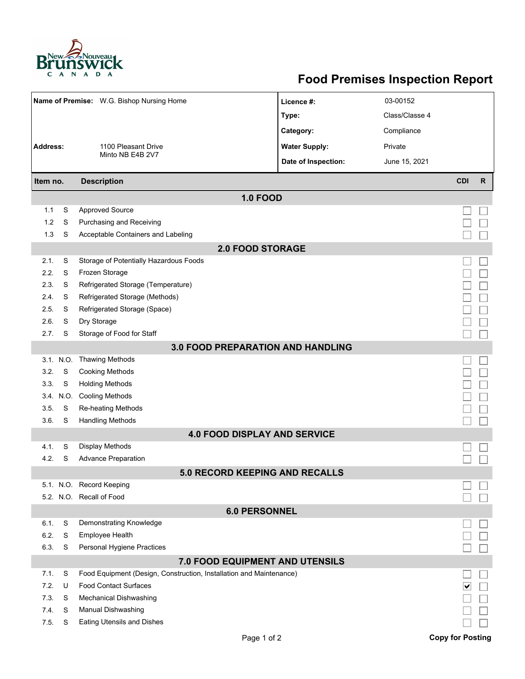

## **Food Premises Inspection Report**

| Name of Premise: W.G. Bishop Nursing Home |                                |                                                                      | Licence #:           | 03-00152       |                         |              |  |
|-------------------------------------------|--------------------------------|----------------------------------------------------------------------|----------------------|----------------|-------------------------|--------------|--|
|                                           |                                |                                                                      | Type:                | Class/Classe 4 |                         |              |  |
|                                           |                                |                                                                      | Category:            | Compliance     |                         |              |  |
| <b>Address:</b><br>1100 Pleasant Drive    |                                |                                                                      | <b>Water Supply:</b> | Private        |                         |              |  |
|                                           |                                | Minto NB E4B 2V7                                                     | Date of Inspection:  | June 15, 2021  |                         |              |  |
|                                           |                                |                                                                      |                      |                | <b>CDI</b>              | $\mathsf{R}$ |  |
|                                           | <b>Description</b><br>Item no. |                                                                      |                      |                |                         |              |  |
|                                           |                                | <b>1.0 FOOD</b>                                                      |                      |                |                         |              |  |
| 1.1                                       | S                              | <b>Approved Source</b>                                               |                      |                |                         |              |  |
| 1.2                                       | S                              | Purchasing and Receiving                                             |                      |                |                         |              |  |
| 1.3                                       | S                              | Acceptable Containers and Labeling                                   |                      |                |                         |              |  |
|                                           |                                | <b>2.0 FOOD STORAGE</b>                                              |                      |                |                         |              |  |
| 2.1.                                      | S                              | Storage of Potentially Hazardous Foods                               |                      |                |                         |              |  |
| 2.2.                                      | S                              | Frozen Storage                                                       |                      |                |                         |              |  |
| 2.3.<br>2.4.                              | S<br>S                         | Refrigerated Storage (Temperature)<br>Refrigerated Storage (Methods) |                      |                |                         |              |  |
| 2.5.                                      | S                              |                                                                      |                      |                |                         |              |  |
| 2.6.                                      | S                              | Refrigerated Storage (Space)<br>Dry Storage                          |                      |                |                         |              |  |
| 2.7.                                      | S                              | Storage of Food for Staff                                            |                      |                |                         |              |  |
|                                           |                                |                                                                      |                      |                |                         |              |  |
|                                           |                                | <b>3.0 FOOD PREPARATION AND HANDLING</b>                             |                      |                |                         |              |  |
| 3.2.                                      | 3.1. N.O.<br>S                 | <b>Thawing Methods</b><br><b>Cooking Methods</b>                     |                      |                |                         |              |  |
| 3.3.                                      | S                              | <b>Holding Methods</b>                                               |                      |                |                         |              |  |
|                                           | 3.4. N.O.                      | <b>Cooling Methods</b>                                               |                      |                |                         |              |  |
| 3.5.                                      | S                              | Re-heating Methods                                                   |                      |                |                         |              |  |
| 3.6.                                      | S                              | <b>Handling Methods</b>                                              |                      |                |                         |              |  |
|                                           |                                | <b>4.0 FOOD DISPLAY AND SERVICE</b>                                  |                      |                |                         |              |  |
| 4.1.                                      | S                              | Display Methods                                                      |                      |                |                         |              |  |
| 4.2.                                      | S                              | <b>Advance Preparation</b>                                           |                      |                |                         |              |  |
|                                           |                                | <b>5.0 RECORD KEEPING AND RECALLS</b>                                |                      |                |                         |              |  |
|                                           |                                | 5.1. N.O. Record Keeping                                             |                      |                |                         |              |  |
|                                           |                                | 5.2. N.O. Recall of Food                                             |                      |                |                         |              |  |
|                                           |                                | <b>6.0 PERSONNEL</b>                                                 |                      |                |                         |              |  |
| 6.1.                                      | S                              | Demonstrating Knowledge                                              |                      |                |                         |              |  |
| 6.2.                                      | S                              | Employee Health                                                      |                      |                |                         |              |  |
| 6.3.                                      | S                              | Personal Hygiene Practices                                           |                      |                |                         |              |  |
|                                           |                                | 7.0 FOOD EQUIPMENT AND UTENSILS                                      |                      |                |                         |              |  |
| 7.1.                                      | S                              | Food Equipment (Design, Construction, Installation and Maintenance)  |                      |                |                         |              |  |
| 7.2.                                      | U                              | <b>Food Contact Surfaces</b>                                         |                      |                |                         |              |  |
| 7.3.                                      | S                              | <b>Mechanical Dishwashing</b>                                        |                      |                |                         |              |  |
| 74.                                       | S                              | Manual Dishwashing                                                   |                      |                |                         |              |  |
| 7.5.                                      | S                              | Eating Utensils and Dishes                                           |                      |                |                         |              |  |
|                                           |                                | Page 1 of 2                                                          |                      |                | <b>Copy for Posting</b> |              |  |